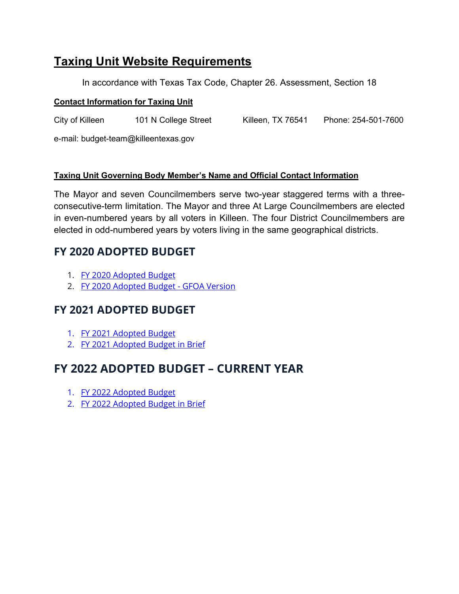## **Taxing Unit Website Requirements**

In accordance with Texas Tax Code, Chapter 26. Assessment, Section 18

## **Contact Information for Taxing Unit**

City of Killeen 101 N College Street Killeen, TX 76541 Phone: 254-501-7600

e-mail: budget-team@killeentexas.gov

## **Taxing Unit Governing Body Member's Name and Official Contact Information**

The Mayor and seven Councilmembers serve two-year staggered terms with a threeconsecutive-term limitation. The Mayor and three At Large Councilmembers are elected in even-numbered years by all voters in Killeen. The four District Councilmembers are elected in odd-numbered years by voters living in the same geographical districts.

## **FY 2020 ADOPTED BUDGET**

- 1. FY 2020 [Adopted Budget](https://www.killeentexas.gov/DocumentCenter/View/2520/FY-2020-Adopted-Budget)
- 2. FY 2020 [Adopted Budget -](https://www.killeentexas.gov/DocumentCenter/View/2521/FY-2020-Adopted-Budget---GFOA-Version) GFOA Version

## **FY 2021 ADOPTED BUDGET**

- 1. FY 2021 [Adopted Budget](https://www.killeentexas.gov/DocumentCenter/View/3179/FY-2021-Adopted-Budget)
- 2. FY 2021 [Adopted Budget in Brief](https://www.killeentexas.gov/DocumentCenter/View/3181/FY-2021-Adopted-Budget-in-Brief)

## **FY 2022 ADOPTED BUDGET – CURRENT YEAR**

- 1. FY 2022 [Adopted Budget](https://www.killeentexas.gov/DocumentCenter/View/5034/FY-2022-Adopted-Budget)
- 2. FY 2022 [Adopted Budget in Brief](https://www.killeentexas.gov/DocumentCenter/View/5007/FY-2022-Adopted-Budget-in-Brief)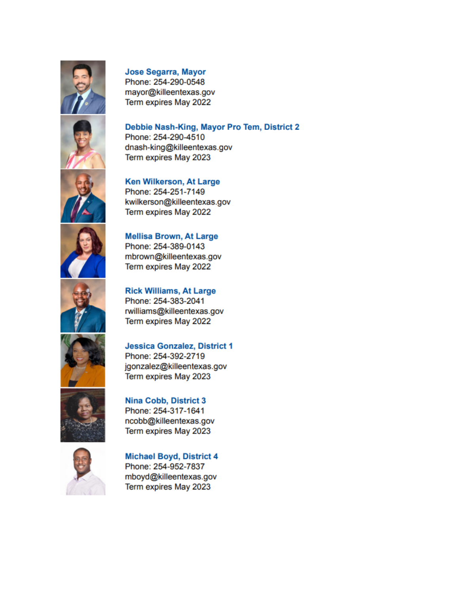

## **Jose Segarra, Mayor**

Phone: 254-290-0548 mayor@killeentexas.gov Term expires May 2022

Phone: 254-290-4510



**Ken Wilkerson, At Large** Phone: 254-251-7149 kwilkerson@killeentexas.gov Term expires May 2022

dnash-king@killeentexas.gov Term expires May 2023



mbrown@killeentexas.gov Term expires May 2022

**Rick Williams, At Large** Phone: 254-383-2041 Term expires May 2022









## **Michael Boyd, District 4** Phone: 254-952-7837 mboyd@killeentexas.gov Term expires May 2023

## **Mellisa Brown, At Large** Phone: 254-389-0143

# rwilliams@killeentexas.gov

Debbie Nash-King, Mayor Pro Tem, District 2